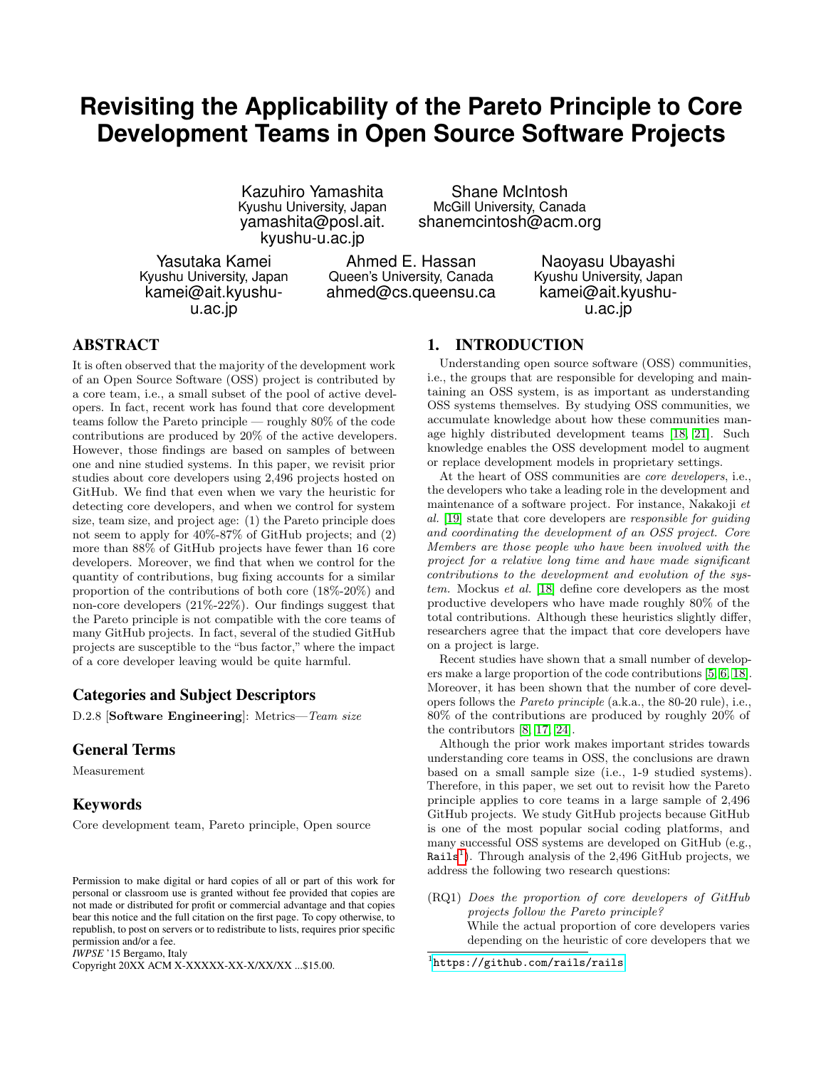# **Revisiting the Applicability of the Pareto Principle to Core Development Teams in Open Source Software Projects**

Kazuhiro Yamashita Kyushu University, Japan yamashita@posl.ait. kyushu-u.ac.jp

Shane McIntosh McGill University, Canada shanemcintosh@acm.org

Yasutaka Kamei Kyushu University, Japan kamei@ait.kyushuu.ac.jp

Ahmed E. Hassan Queen's University, Canada ahmed@cs.queensu.ca

Naoyasu Ubayashi Kyushu University, Japan kamei@ait.kyushuu.ac.jp

# ABSTRACT

It is often observed that the majority of the development work of an Open Source Software (OSS) project is contributed by a core team, i.e., a small subset of the pool of active developers. In fact, recent work has found that core development teams follow the Pareto principle — roughly 80% of the code contributions are produced by 20% of the active developers. However, those findings are based on samples of between one and nine studied systems. In this paper, we revisit prior studies about core developers using 2,496 projects hosted on GitHub. We find that even when we vary the heuristic for detecting core developers, and when we control for system size, team size, and project age: (1) the Pareto principle does not seem to apply for 40%-87% of GitHub projects; and (2) more than 88% of GitHub projects have fewer than 16 core developers. Moreover, we find that when we control for the quantity of contributions, bug fixing accounts for a similar proportion of the contributions of both core (18%-20%) and non-core developers (21%-22%). Our findings suggest that the Pareto principle is not compatible with the core teams of many GitHub projects. In fact, several of the studied GitHub projects are susceptible to the "bus factor," where the impact of a core developer leaving would be quite harmful.

# Categories and Subject Descriptors

D.2.8 [Software Engineering]: Metrics—Team size

# General Terms

Measurement

## Keywords

Core development team, Pareto principle, Open source

*IWPSE* '15 Bergamo, Italy

Copyright 20XX ACM X-XXXXX-XX-X/XX/XX ...\$15.00.

# 1. INTRODUCTION

Understanding open source software (OSS) communities, i.e., the groups that are responsible for developing and maintaining an OSS system, is as important as understanding OSS systems themselves. By studying OSS communities, we accumulate knowledge about how these communities manage highly distributed development teams [\[18,](#page-9-0) [21\]](#page-9-1). Such knowledge enables the OSS development model to augment or replace development models in proprietary settings.

At the heart of OSS communities are *core developers*, i.e., the developers who take a leading role in the development and maintenance of a software project. For instance, Nakakoji et al. [\[19\]](#page-9-2) state that core developers are responsible for guiding and coordinating the development of an OSS project. Core Members are those people who have been involved with the project for a relative long time and have made significant contributions to the development and evolution of the system. Mockus et al. [\[18\]](#page-9-0) define core developers as the most productive developers who have made roughly 80% of the total contributions. Although these heuristics slightly differ, researchers agree that the impact that core developers have on a project is large.

Recent studies have shown that a small number of developers make a large proportion of the code contributions [\[5,](#page-8-0) [6,](#page-8-1) [18\]](#page-9-0). Moreover, it has been shown that the number of core developers follows the Pareto principle (a.k.a., the 80-20 rule), i.e., 80% of the contributions are produced by roughly 20% of the contributors [\[8,](#page-9-3) [17,](#page-9-4) [24\]](#page-9-5).

Although the prior work makes important strides towards understanding core teams in OSS, the conclusions are drawn based on a small sample size (i.e., 1-9 studied systems). Therefore, in this paper, we set out to revisit how the Pareto principle applies to core teams in a large sample of 2,496 GitHub projects. We study GitHub projects because GitHub is one of the most popular social coding platforms, and many successful OSS systems are developed on GitHub (e.g., Rails<sup>[1](#page-0-0)</sup>). Through analysis of the 2,496 GitHub projects, we address the following two research questions:

(RQ1) Does the proportion of core developers of GitHub projects follow the Pareto principle? While the actual proportion of core developers varies depending on the heuristic of core developers that we

Permission to make digital or hard copies of all or part of this work for personal or classroom use is granted without fee provided that copies are not made or distributed for profit or commercial advantage and that copies bear this notice and the full citation on the first page. To copy otherwise, to republish, to post on servers or to redistribute to lists, requires prior specific permission and/or a fee.

<span id="page-0-0"></span><sup>1</sup> <https://github.com/rails/rails>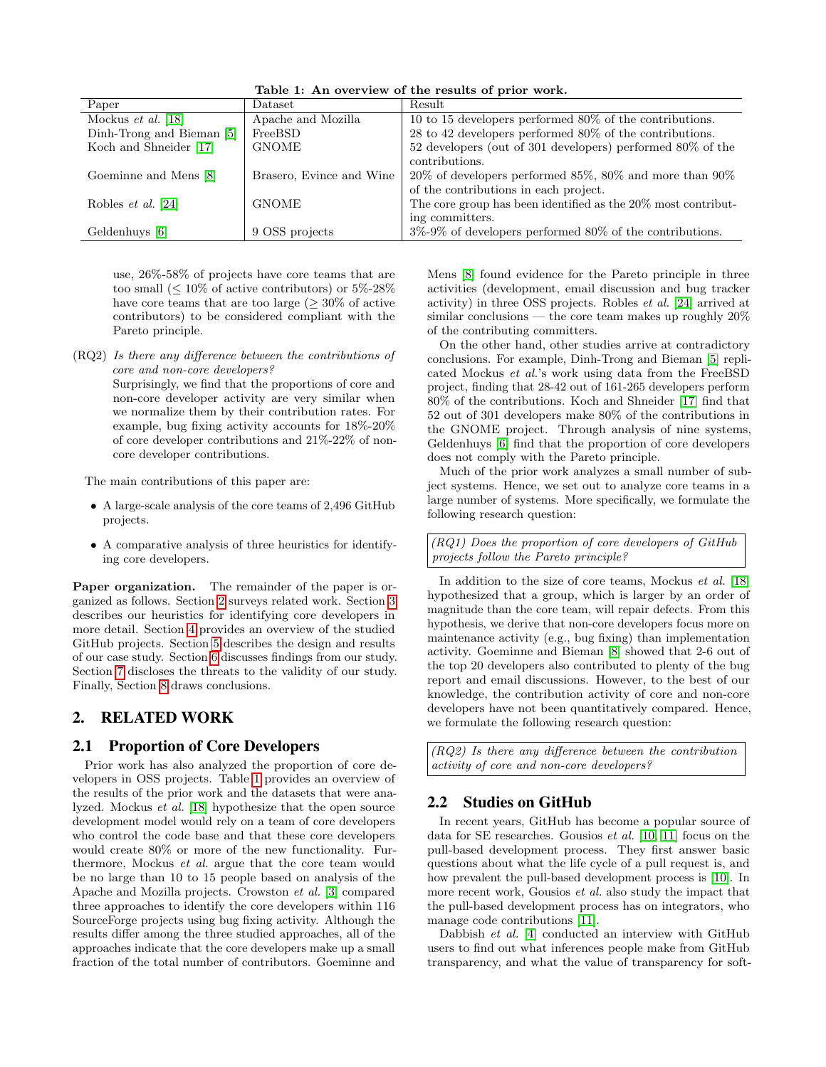| $\text{Dataset}$         | Result                                                         |
|--------------------------|----------------------------------------------------------------|
| Apache and Mozilla       | 10 to 15 developers performed $80\%$ of the contributions.     |
| FreeBSD                  | $28$ to $42$ developers performed $80\%$ of the contributions. |
| <b>GNOME</b>             | 52 developers (out of 301 developers) performed $80\%$ of the  |
|                          | contributions.                                                 |
| Brasero, Evince and Wine | $20\%$ of developers performed 85%, 80% and more than 90%      |
|                          | of the contributions in each project.                          |
| <b>GNOME</b>             | The core group has been identified as the 20\% most contribut- |
|                          | ing committers.                                                |
| 9 OSS projects           | $3\%$ -9% of developers performed 80% of the contributions.    |
|                          |                                                                |

<span id="page-1-1"></span>Table 1: An overview of the results of prior work.

use, 26%-58% of projects have core teams that are too small  $(\leq 10\%$  of active contributors) or 5\%-28\% have core teams that are too large  $(>30\%$  of active contributors) to be considered compliant with the Pareto principle.

(RQ2) Is there any difference between the contributions of core and non-core developers? Surprisingly, we find that the proportions of core and non-core developer activity are very similar when we normalize them by their contribution rates. For example, bug fixing activity accounts for 18%-20% of core developer contributions and 21%-22% of noncore developer contributions.

The main contributions of this paper are:

- A large-scale analysis of the core teams of 2,496 GitHub projects.
- A comparative analysis of three heuristics for identifying core developers.

Paper organization. The remainder of the paper is organized as follows. Section [2](#page-1-0) surveys related work. Section [3](#page-2-0) describes our heuristics for identifying core developers in more detail. Section [4](#page-2-1) provides an overview of the studied GitHub projects. Section [5](#page-4-0) describes the design and results of our case study. Section [6](#page-7-0) discusses findings from our study. Section [7](#page-8-2) discloses the threats to the validity of our study. Finally, Section [8](#page-8-3) draws conclusions.

## <span id="page-1-0"></span>2. RELATED WORK

## 2.1 Proportion of Core Developers

Prior work has also analyzed the proportion of core developers in OSS projects. Table [1](#page-1-1) provides an overview of the results of the prior work and the datasets that were analyzed. Mockus et al. [\[18\]](#page-9-0) hypothesize that the open source development model would rely on a team of core developers who control the code base and that these core developers would create 80% or more of the new functionality. Furthermore, Mockus et al. argue that the core team would be no large than 10 to 15 people based on analysis of the Apache and Mozilla projects. Crowston et al. [\[3\]](#page-8-4) compared three approaches to identify the core developers within 116 SourceForge projects using bug fixing activity. Although the results differ among the three studied approaches, all of the approaches indicate that the core developers make up a small fraction of the total number of contributors. Goeminne and

Mens [\[8\]](#page-9-3) found evidence for the Pareto principle in three activities (development, email discussion and bug tracker activity) in three OSS projects. Robles et al. [\[24\]](#page-9-5) arrived at similar conclusions — the core team makes up roughly  $20\%$ of the contributing committers.

On the other hand, other studies arrive at contradictory conclusions. For example, Dinh-Trong and Bieman [\[5\]](#page-8-0) replicated Mockus et al.'s work using data from the FreeBSD project, finding that 28-42 out of 161-265 developers perform 80% of the contributions. Koch and Shneider [\[17\]](#page-9-4) find that 52 out of 301 developers make 80% of the contributions in the GNOME project. Through analysis of nine systems, Geldenhuys [\[6\]](#page-8-1) find that the proportion of core developers does not comply with the Pareto principle.

Much of the prior work analyzes a small number of subject systems. Hence, we set out to analyze core teams in a large number of systems. More specifically, we formulate the following research question:

(RQ1) Does the proportion of core developers of GitHub projects follow the Pareto principle?

In addition to the size of core teams, Mockus et al. [\[18\]](#page-9-0) hypothesized that a group, which is larger by an order of magnitude than the core team, will repair defects. From this hypothesis, we derive that non-core developers focus more on maintenance activity (e.g., bug fixing) than implementation activity. Goeminne and Bieman [\[8\]](#page-9-3) showed that 2-6 out of the top 20 developers also contributed to plenty of the bug report and email discussions. However, to the best of our knowledge, the contribution activity of core and non-core developers have not been quantitatively compared. Hence, we formulate the following research question:

(RQ2) Is there any difference between the contribution activity of core and non-core developers?

# 2.2 Studies on GitHub

In recent years, GitHub has become a popular source of data for SE researches. Gousios et al. [\[10,](#page-9-6) [11\]](#page-9-7) focus on the pull-based development process. They first answer basic questions about what the life cycle of a pull request is, and how prevalent the pull-based development process is [\[10\]](#page-9-6). In more recent work, Gousios *et al.* also study the impact that the pull-based development process has on integrators, who manage code contributions [\[11\]](#page-9-7).

Dabbish et al. [\[4\]](#page-8-5) conducted an interview with GitHub users to find out what inferences people make from GitHub transparency, and what the value of transparency for soft-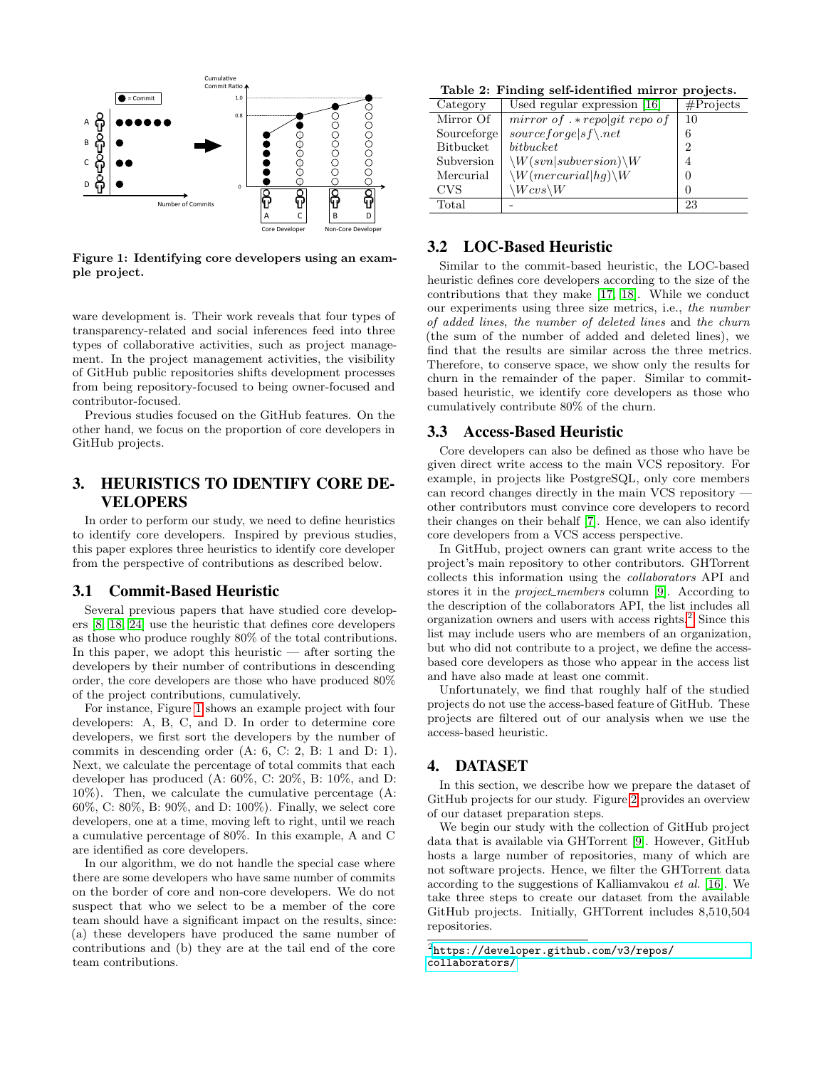

<span id="page-2-2"></span>Figure 1: Identifying core developers using an example project.

ware development is. Their work reveals that four types of transparency-related and social inferences feed into three types of collaborative activities, such as project management. In the project management activities, the visibility of GitHub public repositories shifts development processes from being repository-focused to being owner-focused and contributor-focused.

Previous studies focused on the GitHub features. On the other hand, we focus on the proportion of core developers in GitHub projects.

# <span id="page-2-0"></span>3. HEURISTICS TO IDENTIFY CORE DE-VELOPERS

In order to perform our study, we need to define heuristics to identify core developers. Inspired by previous studies, this paper explores three heuristics to identify core developer from the perspective of contributions as described below.

#### 3.1 Commit-Based Heuristic

Several previous papers that have studied core developers [\[8,](#page-9-3) [18,](#page-9-0) [24\]](#page-9-5) use the heuristic that defines core developers as those who produce roughly 80% of the total contributions. In this paper, we adopt this heuristic — after sorting the developers by their number of contributions in descending order, the core developers are those who have produced 80% of the project contributions, cumulatively.

For instance, Figure [1](#page-2-2) shows an example project with four developers: A, B, C, and D. In order to determine core developers, we first sort the developers by the number of commits in descending order (A: 6, C: 2, B: 1 and D: 1). Next, we calculate the percentage of total commits that each developer has produced (A: 60%, C: 20%, B: 10%, and D: 10%). Then, we calculate the cumulative percentage (A: 60%, C: 80%, B: 90%, and D: 100%). Finally, we select core developers, one at a time, moving left to right, until we reach a cumulative percentage of 80%. In this example, A and C are identified as core developers.

In our algorithm, we do not handle the special case where there are some developers who have same number of commits on the border of core and non-core developers. We do not suspect that who we select to be a member of the core team should have a significant impact on the results, since: (a) these developers have produced the same number of contributions and (b) they are at the tail end of the core team contributions.

<span id="page-2-4"></span>Table 2: Finding self-identified mirror projects.

| Category         | Used regular expression [16]             | # Projects     |  |  |
|------------------|------------------------------------------|----------------|--|--|
| Mirror Of        | mirror of $.* repolyit$ repo of          | 10             |  |  |
| Sourceforge      | $sourcefore [sf \$                       | 6              |  |  |
| <b>Bitbucket</b> | bitbucket                                | $\overline{2}$ |  |  |
| Subversion       | $\setminus W(svn subversion)\setminus W$ | 4              |  |  |
| Mercurial        | $\setminus W(mercurial hq) \setminus W$  |                |  |  |
| <b>CVS</b>       | $\setminus Wcvs\setminus W$              | ∩              |  |  |
| Total            |                                          | 23             |  |  |

# 3.2 LOC-Based Heuristic

Similar to the commit-based heuristic, the LOC-based heuristic defines core developers according to the size of the contributions that they make [\[17,](#page-9-4) [18\]](#page-9-0). While we conduct our experiments using three size metrics, i.e., the number of added lines, the number of deleted lines and the churn (the sum of the number of added and deleted lines), we find that the results are similar across the three metrics. Therefore, to conserve space, we show only the results for churn in the remainder of the paper. Similar to commitbased heuristic, we identify core developers as those who cumulatively contribute 80% of the churn.

#### 3.3 Access-Based Heuristic

Core developers can also be defined as those who have be given direct write access to the main VCS repository. For example, in projects like PostgreSQL, only core members can record changes directly in the main VCS repository other contributors must convince core developers to record their changes on their behalf [\[7\]](#page-8-6). Hence, we can also identify core developers from a VCS access perspective.

In GitHub, project owners can grant write access to the project's main repository to other contributors. GHTorrent collects this information using the collaborators API and stores it in the *project\_members* column [\[9\]](#page-9-9). According to the description of the collaborators API, the list includes all organization owners and users with access rights.[2](#page-2-3) Since this list may include users who are members of an organization, but who did not contribute to a project, we define the accessbased core developers as those who appear in the access list and have also made at least one commit.

Unfortunately, we find that roughly half of the studied projects do not use the access-based feature of GitHub. These projects are filtered out of our analysis when we use the access-based heuristic.

#### <span id="page-2-1"></span>4. DATASET

In this section, we describe how we prepare the dataset of GitHub projects for our study. Figure [2](#page-3-0) provides an overview of our dataset preparation steps.

We begin our study with the collection of GitHub project data that is available via GHTorrent [\[9\]](#page-9-9). However, GitHub hosts a large number of repositories, many of which are not software projects. Hence, we filter the GHTorrent data according to the suggestions of Kalliamvakou et al. [\[16\]](#page-9-8). We take three steps to create our dataset from the available GitHub projects. Initially, GHTorrent includes 8,510,504 repositories.

<span id="page-2-3"></span> $^{2}$ [https://developer.github.com/v3/repos/](https://developer.github.com/v3/repos/collaborators/) [collaborators/](https://developer.github.com/v3/repos/collaborators/)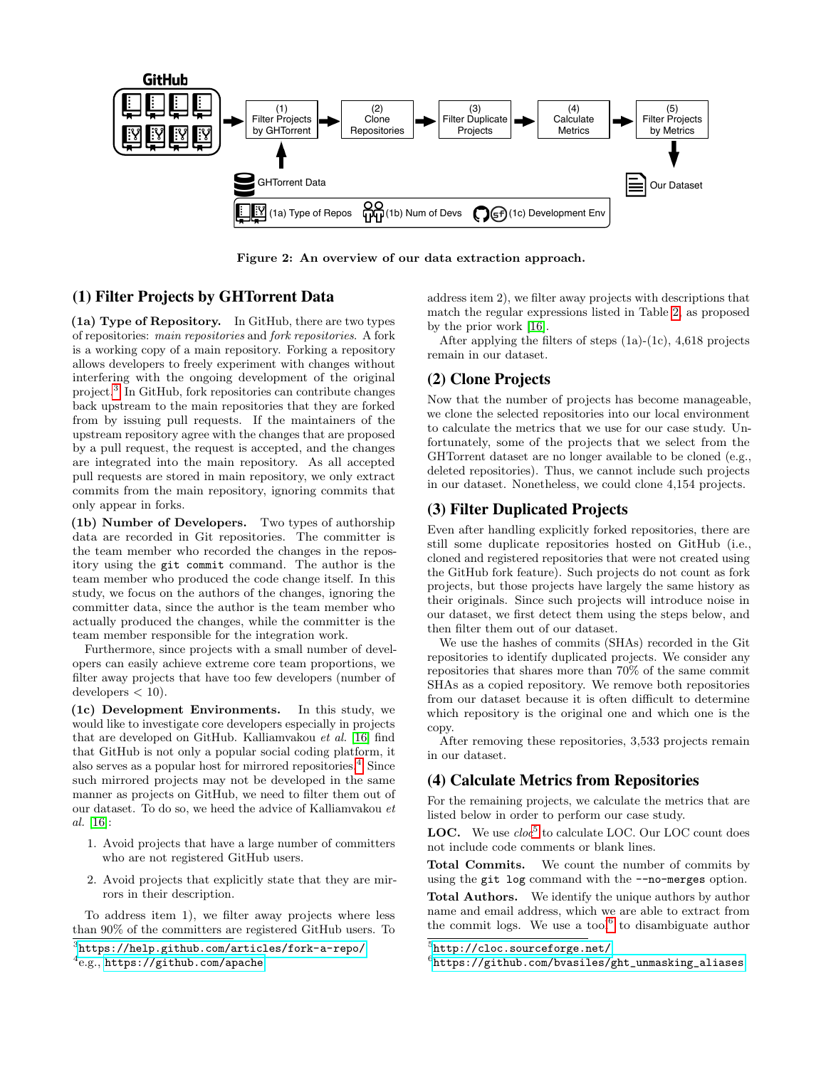

<span id="page-3-0"></span>Figure 2: An overview of our data extraction approach.

# (1) Filter Projects by GHTorrent Data

(1a) Type of Repository. In GitHub, there are two types of repositories: main repositories and fork repositories. A fork is a working copy of a main repository. Forking a repository allows developers to freely experiment with changes without interfering with the ongoing development of the original project.[3](#page-3-1) In GitHub, fork repositories can contribute changes back upstream to the main repositories that they are forked from by issuing pull requests. If the maintainers of the upstream repository agree with the changes that are proposed by a pull request, the request is accepted, and the changes are integrated into the main repository. As all accepted pull requests are stored in main repository, we only extract commits from the main repository, ignoring commits that only appear in forks.

(1b) Number of Developers. Two types of authorship data are recorded in Git repositories. The committer is the team member who recorded the changes in the repository using the git commit command. The author is the team member who produced the code change itself. In this study, we focus on the authors of the changes, ignoring the committer data, since the author is the team member who actually produced the changes, while the committer is the team member responsible for the integration work.

Furthermore, since projects with a small number of developers can easily achieve extreme core team proportions, we filter away projects that have too few developers (number of  $developers < 10$ ).

(1c) Development Environments. In this study, we would like to investigate core developers especially in projects that are developed on GitHub. Kalliamvakou et al. [\[16\]](#page-9-8) find that GitHub is not only a popular social coding platform, it also serves as a popular host for mirrored repositories.<sup>[4](#page-3-2)</sup> Since such mirrored projects may not be developed in the same manner as projects on GitHub, we need to filter them out of our dataset. To do so, we heed the advice of Kalliamvakou et al. [\[16\]](#page-9-8):

- 1. Avoid projects that have a large number of committers who are not registered GitHub users.
- 2. Avoid projects that explicitly state that they are mirrors in their description.

To address item 1), we filter away projects where less than 90% of the committers are registered GitHub users. To

<span id="page-3-1"></span>3 <https://help.github.com/articles/fork-a-repo/>

address item 2), we filter away projects with descriptions that match the regular expressions listed in Table [2,](#page-2-4) as proposed by the prior work [\[16\]](#page-9-8).

After applying the filters of steps (1a)-(1c), 4,618 projects remain in our dataset.

## (2) Clone Projects

Now that the number of projects has become manageable, we clone the selected repositories into our local environment to calculate the metrics that we use for our case study. Unfortunately, some of the projects that we select from the GHTorrent dataset are no longer available to be cloned (e.g., deleted repositories). Thus, we cannot include such projects in our dataset. Nonetheless, we could clone 4,154 projects.

# (3) Filter Duplicated Projects

Even after handling explicitly forked repositories, there are still some duplicate repositories hosted on GitHub (i.e., cloned and registered repositories that were not created using the GitHub fork feature). Such projects do not count as fork projects, but those projects have largely the same history as their originals. Since such projects will introduce noise in our dataset, we first detect them using the steps below, and then filter them out of our dataset.

We use the hashes of commits (SHAs) recorded in the Git repositories to identify duplicated projects. We consider any repositories that shares more than 70% of the same commit SHAs as a copied repository. We remove both repositories from our dataset because it is often difficult to determine which repository is the original one and which one is the copy.

After removing these repositories, 3,533 projects remain in our dataset.

## (4) Calculate Metrics from Repositories

For the remaining projects, we calculate the metrics that are listed below in order to perform our case study.

LOC. We use  $cloc^5$  $cloc^5$  to calculate LOC. Our LOC count does not include code comments or blank lines.

Total Commits. We count the number of commits by using the git log command with the --no-merges option.

Total Authors. We identify the unique authors by author name and email address, which we are able to extract from the commit logs. We use a tool $6$  to disambiguate author

<span id="page-3-2"></span><sup>4</sup> e.g., <https://github.com/apache>

<span id="page-3-3"></span> $^{5}$ http:// $\text{clock}$ .sourceforge.net/

<span id="page-3-4"></span> $<sup>6</sup>$ [https://github.com/bvasiles/ght\\_unmasking\\_aliases](https://github.com/bvasiles/ght_unmasking_aliases)</sup>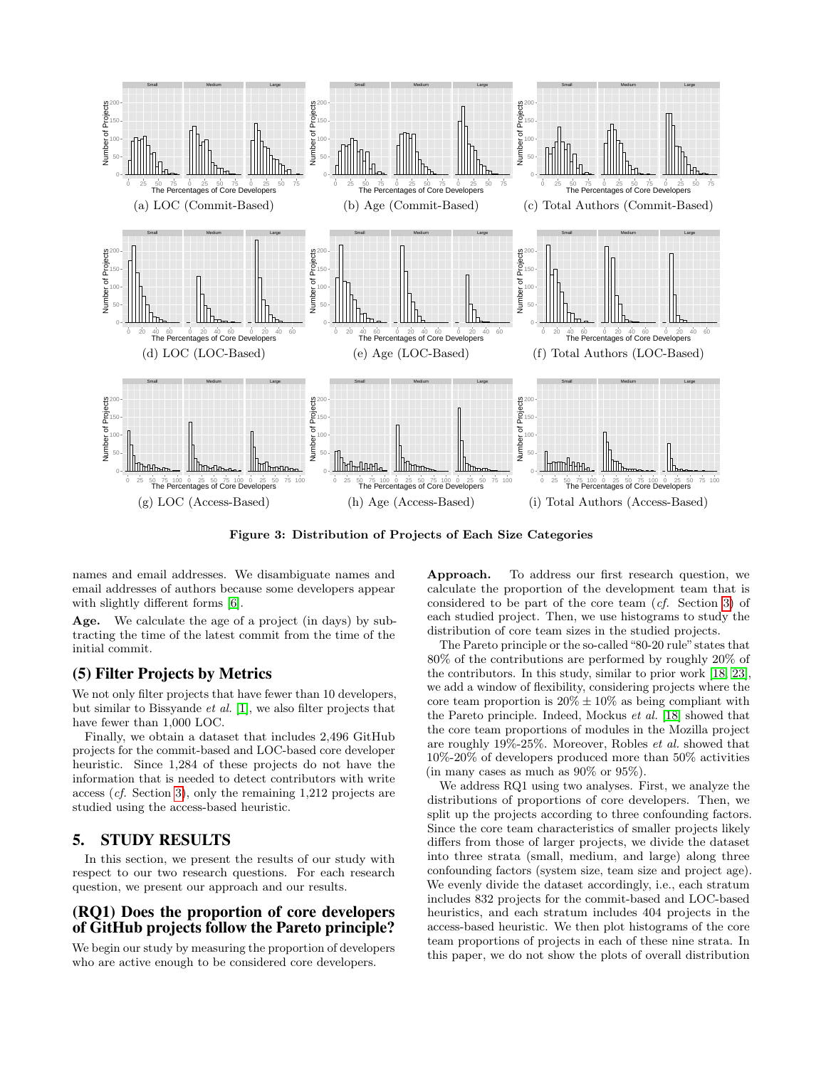

<span id="page-4-1"></span>Figure 3: Distribution of Projects of Each Size Categories

names and email addresses. We disambiguate names and email addresses of authors because some developers appear with slightly different forms [\[6\]](#page-8-1).

Age. We calculate the age of a project (in days) by subtracting the time of the latest commit from the time of the initial commit.

# (5) Filter Projects by Metrics

We not only filter projects that have fewer than 10 developers, but similar to Bissyande et al. [\[1\]](#page-8-7), we also filter projects that have fewer than 1,000 LOC.

Finally, we obtain a dataset that includes 2,496 GitHub projects for the commit-based and LOC-based core developer heuristic. Since 1,284 of these projects do not have the information that is needed to detect contributors with write access (cf. Section [3\)](#page-2-0), only the remaining 1,212 projects are studied using the access-based heuristic.

# <span id="page-4-0"></span>5. STUDY RESULTS

In this section, we present the results of our study with respect to our two research questions. For each research question, we present our approach and our results.

# (RQ1) Does the proportion of core developers of GitHub projects follow the Pareto principle?

We begin our study by measuring the proportion of developers who are active enough to be considered core developers.

Approach. To address our first research question, we calculate the proportion of the development team that is considered to be part of the core team (cf. Section [3\)](#page-2-0) of each studied project. Then, we use histograms to study the distribution of core team sizes in the studied projects.

The Pareto principle or the so-called "80-20 rule" states that 80% of the contributions are performed by roughly 20% of the contributors. In this study, similar to prior work [\[18,](#page-9-0) [23\]](#page-9-10), we add a window of flexibility, considering projects where the core team proportion is  $20\% \pm 10\%$  as being compliant with the Pareto principle. Indeed, Mockus et al. [\[18\]](#page-9-0) showed that the core team proportions of modules in the Mozilla project are roughly 19%-25%. Moreover, Robles et al. showed that 10%-20% of developers produced more than 50% activities (in many cases as much as 90% or 95%).

We address RQ1 using two analyses. First, we analyze the distributions of proportions of core developers. Then, we split up the projects according to three confounding factors. Since the core team characteristics of smaller projects likely differs from those of larger projects, we divide the dataset into three strata (small, medium, and large) along three confounding factors (system size, team size and project age). We evenly divide the dataset accordingly, i.e., each stratum includes 832 projects for the commit-based and LOC-based heuristics, and each stratum includes 404 projects in the access-based heuristic. We then plot histograms of the core team proportions of projects in each of these nine strata. In this paper, we do not show the plots of overall distribution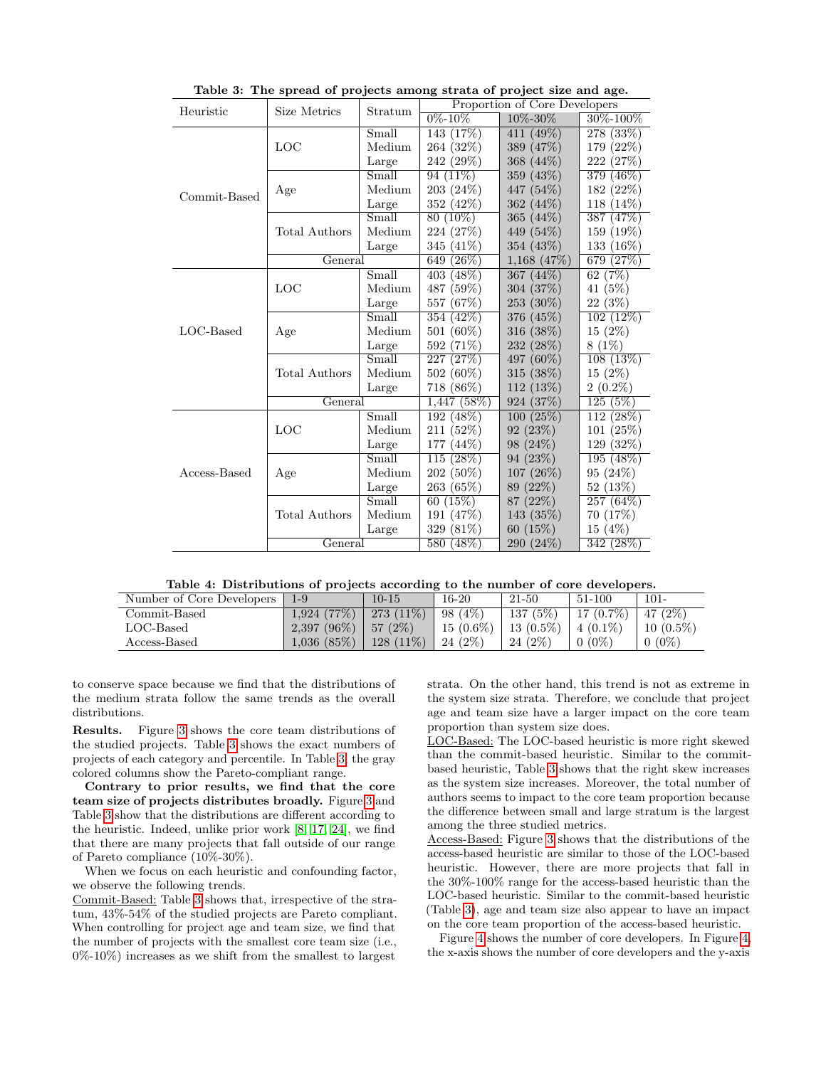| Heuristic    | Size Metrics         | Stratum |                 | Proportion of Core Developers |                |  |  |
|--------------|----------------------|---------|-----------------|-------------------------------|----------------|--|--|
|              |                      |         | $0\% - 10\%$    | 10\%-30\%                     | $30\% - 100\%$ |  |  |
|              |                      | Small   | 143 (17%)       | 411 (49%)                     | 278 (33%)      |  |  |
|              | LOC                  | Medium  | 264 (32\%)      | 389 (47\%)                    | 179 (22\%)     |  |  |
|              |                      | Large   | 242 (29%)       | 368 (44\%)                    | 222 (27\%)     |  |  |
|              |                      | Small   | $94(11\%)$      | 359 (43\%)                    | 379 (46\%)     |  |  |
| Commit-Based | Age                  | Medium  | 203 (24\%)      | 447 (54%)                     | 182 (22%)      |  |  |
|              |                      | Large   | 352 (42\%)      | $362(44\%)$                   | $118(14\%)$    |  |  |
|              |                      | Small   | $80(10\%)$      | 365 $(44\%)$                  | 387 (47\%)     |  |  |
|              | Total Authors        | Medium  | 224 (27\%)      | 449 (54\%)                    | 159 (19%)      |  |  |
|              |                      | Large   | $(41\%)$<br>345 | 354 (43\%)                    | $133(16\%)$    |  |  |
|              | General              |         | $(26\%)$<br>649 | $1,168$ (47\%)                | 679<br>(27%)   |  |  |
|              |                      | Small   | $403(48\%)$     | 367 $(44\%)$                  | 62 $(7%)$      |  |  |
|              | LOC                  | Medium  | 487 (59%)       | 304 (37%)                     | 41 (5%)        |  |  |
|              |                      | Large   | 557<br>(67%)    | 253 (30\%)                    | 22 (3%)        |  |  |
|              |                      | Small   | 354 (42\%)      | 376 (45\%)                    | $102(12\%)$    |  |  |
| $LOC$ -Based | Age                  | Medium  | 501 (60%)       | 316 (38%)                     | $15(2\%)$      |  |  |
|              |                      | Large   | 592 (71\%)      | 232 (28%)                     | $8(1\%)$       |  |  |
|              |                      | Small   | (27%)<br>227    | 497 (60\%)                    | 108(13%)       |  |  |
|              | <b>Total Authors</b> | Medium  | 502 (60%)       | 315 (38\%)                    | $15(2\%)$      |  |  |
|              |                      | Large   | 718 (86%)       | $112(13\%)$                   | $2(0.2\%)$     |  |  |
|              | General              |         | $1,447$ (58%)   | 924 (37\%)                    | 125(5%)        |  |  |
|              |                      | Small   | 192(48%)        | 100(25%)                      | $112(28\%)$    |  |  |
|              | LOC                  | Medium  | 211 (52%)       | 92(23%)                       | 101(25%)       |  |  |
|              |                      | Large   | 177<br>$(44\%)$ | 98 (24\%)                     | 129 (32%)      |  |  |
|              |                      | Small   | (28%)<br>115    | 94(23%)                       | 195(48%)       |  |  |
| Access-Based | Age                  | Medium  | 202 (50%)       | 107(26%)                      | 95 (24\%)      |  |  |
|              |                      | Large   | 263 (65%)       | 89 (22\%)                     | 52 (13\%)      |  |  |
|              |                      | Small   | 60(15%)         | 87 (22\%)                     | 257(64%)       |  |  |
|              | Total Authors        | Medium  | 191 (47%)       | 143 (35%)                     | 70 (17%)       |  |  |
|              |                      | Large   | 329<br>(81%)    | 60(15%)                       | 15(4%)         |  |  |
|              | General              |         | 580<br>(48%)    | 290 (24%)                     | 342(28%)       |  |  |

<span id="page-5-0"></span>Table 3: The spread of projects among strata of project size and age.

<span id="page-5-1"></span>Table 4: Distributions of projects according to the number of core developers.

| Number of Core Developers | $1 - 9$        | $10 - 15$   | $16-20$     | 21-50       | 51-100         | $101 -$     |
|---------------------------|----------------|-------------|-------------|-------------|----------------|-------------|
| Commit-Based              | 1.924(77%)     | $273(11\%)$ | 98 (4\%)    | 137(5%)     | $17(0.7\%)$    | 47 $(2\%)$  |
| $LOC$ -Based              | $2,397$ (96\%) | 57(2%)      | $15(0.6\%)$ | $13(0.5\%)$ | $\pm 4(0.1\%)$ | $10(0.5\%)$ |
| Access-Based              | 1,036(85%)     | $128(11\%)$ | $24(2\%)$   | 24 (2\%)    | $0(0\%)$       | $0(0\%)$    |

to conserve space because we find that the distributions of the medium strata follow the same trends as the overall distributions.

Results. Figure [3](#page-4-1) shows the core team distributions of the studied projects. Table [3](#page-5-0) shows the exact numbers of projects of each category and percentile. In Table [3,](#page-5-0) the gray colored columns show the Pareto-compliant range.

Contrary to prior results, we find that the core team size of projects distributes broadly. Figure [3](#page-4-1) and Table [3](#page-5-0) show that the distributions are different according to the heuristic. Indeed, unlike prior work [\[8,](#page-9-3) [17,](#page-9-4) [24\]](#page-9-5), we find that there are many projects that fall outside of our range of Pareto compliance (10%-30%).

When we focus on each heuristic and confounding factor, we observe the following trends.

Commit-Based: Table [3](#page-5-0) shows that, irrespective of the stratum, 43%-54% of the studied projects are Pareto compliant. When controlling for project age and team size, we find that the number of projects with the smallest core team size (i.e., 0%-10%) increases as we shift from the smallest to largest

strata. On the other hand, this trend is not as extreme in the system size strata. Therefore, we conclude that project age and team size have a larger impact on the core team proportion than system size does.

LOC-Based: The LOC-based heuristic is more right skewed than the commit-based heuristic. Similar to the commitbased heuristic, Table [3](#page-5-0) shows that the right skew increases as the system size increases. Moreover, the total number of authors seems to impact to the core team proportion because the difference between small and large stratum is the largest among the three studied metrics.

Access-Based: Figure [3](#page-4-1) shows that the distributions of the access-based heuristic are similar to those of the LOC-based heuristic. However, there are more projects that fall in the 30%-100% range for the access-based heuristic than the LOC-based heuristic. Similar to the commit-based heuristic (Table [3\)](#page-5-0), age and team size also appear to have an impact on the core team proportion of the access-based heuristic.

Figure [4](#page-6-0) shows the number of core developers. In Figure [4,](#page-6-0) the x-axis shows the number of core developers and the y-axis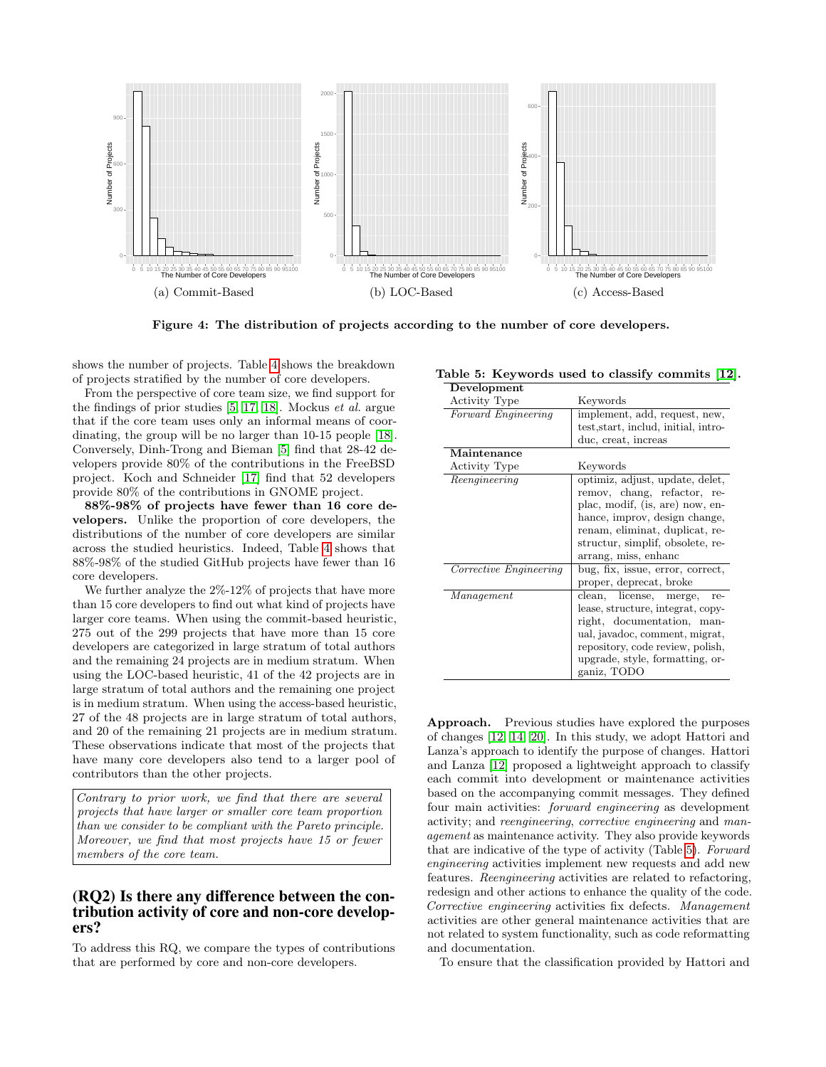

<span id="page-6-0"></span>Figure 4: The distribution of projects according to the number of core developers.

shows the number of projects. Table [4](#page-5-1) shows the breakdown of projects stratified by the number of core developers.

From the perspective of core team size, we find support for the findings of prior studies [\[5,](#page-8-0) [17,](#page-9-4) [18\]](#page-9-0). Mockus et al. argue that if the core team uses only an informal means of coordinating, the group will be no larger than 10-15 people [\[18\]](#page-9-0). Conversely, Dinh-Trong and Bieman [\[5\]](#page-8-0) find that 28-42 developers provide 80% of the contributions in the FreeBSD project. Koch and Schneider [\[17\]](#page-9-4) find that 52 developers provide 80% of the contributions in GNOME project.

88%-98% of projects have fewer than 16 core developers. Unlike the proportion of core developers, the distributions of the number of core developers are similar across the studied heuristics. Indeed, Table [4](#page-5-1) shows that 88%-98% of the studied GitHub projects have fewer than 16 core developers.

We further analyze the  $2\%$ -12% of projects that have more than 15 core developers to find out what kind of projects have larger core teams. When using the commit-based heuristic, 275 out of the 299 projects that have more than 15 core developers are categorized in large stratum of total authors and the remaining 24 projects are in medium stratum. When using the LOC-based heuristic, 41 of the 42 projects are in large stratum of total authors and the remaining one project is in medium stratum. When using the access-based heuristic, 27 of the 48 projects are in large stratum of total authors, and 20 of the remaining 21 projects are in medium stratum. These observations indicate that most of the projects that have many core developers also tend to a larger pool of contributors than the other projects.

Contrary to prior work, we find that there are several projects that have larger or smaller core team proportion than we consider to be compliant with the Pareto principle. Moreover, we find that most projects have 15 or fewer members of the core team.

## (RQ2) Is there any difference between the contribution activity of core and non-core developers?

To address this RQ, we compare the types of contributions that are performed by core and non-core developers.

<span id="page-6-1"></span>

| Table 5: Keywords used to classify commits [12]. |  |  |  |  |  |  |
|--------------------------------------------------|--|--|--|--|--|--|
|--------------------------------------------------|--|--|--|--|--|--|

| Development            |                                                                                                                                                                                                                                  |
|------------------------|----------------------------------------------------------------------------------------------------------------------------------------------------------------------------------------------------------------------------------|
| <b>Activity Type</b>   | Keywords                                                                                                                                                                                                                         |
| Forward Engineering    | implement, add, request, new,                                                                                                                                                                                                    |
|                        | test, start, includ, initial, intro-                                                                                                                                                                                             |
|                        | duc, creat, increas                                                                                                                                                                                                              |
| Maintenance            |                                                                                                                                                                                                                                  |
| <b>Activity Type</b>   | Keywords                                                                                                                                                                                                                         |
| Reengineering          | optimiz, adjust, update, delet,<br>remov, chang, refactor, re-<br>plac, modif, (is, are) now, en-<br>hance, improv, design change,<br>renam, eliminat, duplicat, re-<br>structur, simplif, obsolete, re-<br>arrang, miss, enhanc |
| Corrective Engineering | bug, fix, issue, error, correct,<br>proper, deprecat, broke                                                                                                                                                                      |
| Management             | clean, license, merge,<br>re-<br>lease, structure, integrat, copy-<br>right, documentation, man-<br>ual, javadoc, comment, migrat,<br>repository, code review, polish,<br>upgrade, style, formatting, or-<br>ganiz, TODO         |

Approach. Previous studies have explored the purposes of changes [\[12,](#page-9-11) [14,](#page-9-12) [20\]](#page-9-13). In this study, we adopt Hattori and Lanza's approach to identify the purpose of changes. Hattori and Lanza [\[12\]](#page-9-11) proposed a lightweight approach to classify each commit into development or maintenance activities based on the accompanying commit messages. They defined four main activities: forward engineering as development activity; and reengineering, corrective engineering and management as maintenance activity. They also provide keywords that are indicative of the type of activity (Table [5\)](#page-6-1). Forward engineering activities implement new requests and add new features. Reengineering activities are related to refactoring, redesign and other actions to enhance the quality of the code. Corrective engineering activities fix defects. Management activities are other general maintenance activities that are not related to system functionality, such as code reformatting and documentation.

To ensure that the classification provided by Hattori and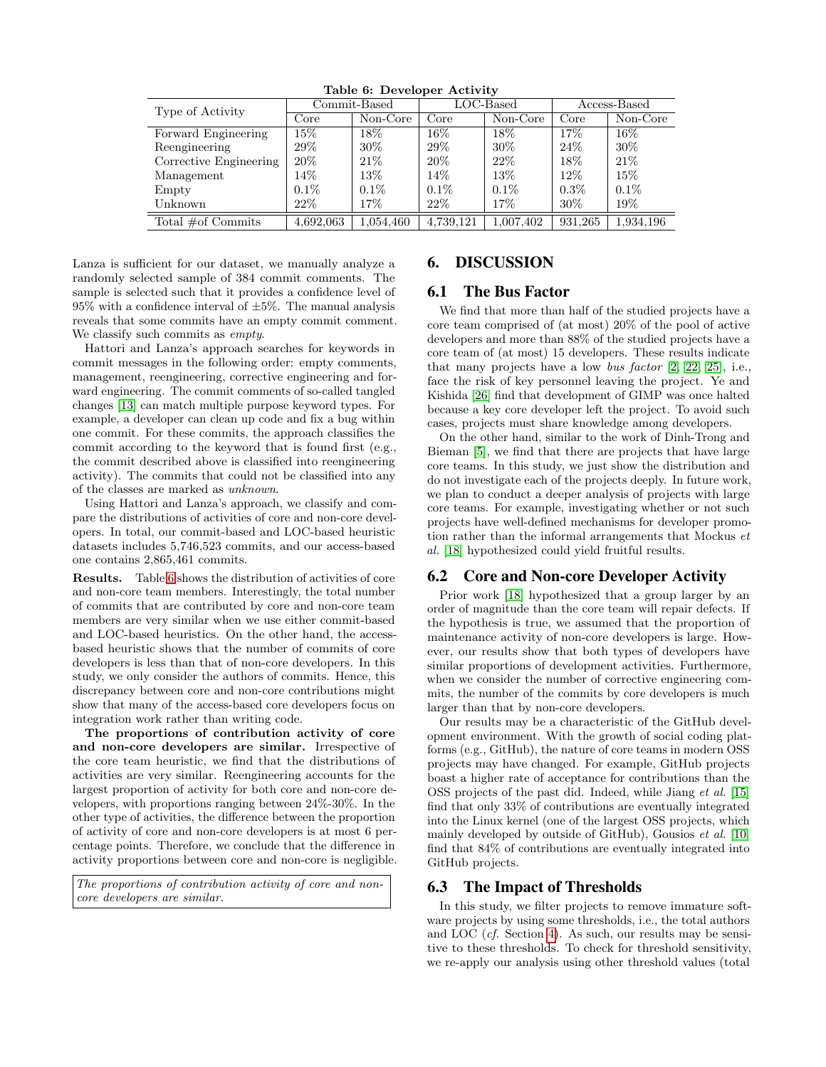| Table of Developer receiving |              |           |              |           |              |           |  |
|------------------------------|--------------|-----------|--------------|-----------|--------------|-----------|--|
| Type of Activity             | Commit-Based |           | $LOC$ -Based |           | Access-Based |           |  |
|                              | Core         | Non-Core  | Core         | Non-Core  | Core         | Non-Core  |  |
| Forward Engineering          | $15\%$       | $18\%$    | $16\%$       | 18%       | 17%          | $16\%$    |  |
| Reengineering                | $29\%$       | $30\%$    | 29\%         | $30\%$    | 24%          | 30%       |  |
| Corrective Engineering       | $20\%$       | $21\%$    | $20\%$       | 22%       | $18\%$       | 21%       |  |
| Management                   | $14\%$       | $13\%$    | $14\%$       | 13%       | $12\%$       | $15\%$    |  |
| Empty                        | $0.1\%$      | $0.1\%$   | $0.1\%$      | $0.1\%$   | $0.3\%$      | $0.1\%$   |  |
| Unknown                      | $22\%$       | $17\%$    | 22%          | 17%       | 30%          | $19\%$    |  |
| Total $\#$ of Commits        | 4,692,063    | 1,054,460 | 4,739,121    | 1,007,402 | 931.265      | 1,934,196 |  |

<span id="page-7-1"></span>Table 6: Developer Activity

Lanza is sufficient for our dataset, we manually analyze a randomly selected sample of 384 commit comments. The sample is selected such that it provides a confidence level of  $95\%$  with a confidence interval of  $\pm 5\%$ . The manual analysis reveals that some commits have an empty commit comment. We classify such commits as *empty*.

Hattori and Lanza's approach searches for keywords in commit messages in the following order: empty comments, management, reengineering, corrective engineering and forward engineering. The commit comments of so-called tangled changes [\[13\]](#page-9-14) can match multiple purpose keyword types. For example, a developer can clean up code and fix a bug within one commit. For these commits, the approach classifies the commit according to the keyword that is found first (e.g., the commit described above is classified into reengineering activity). The commits that could not be classified into any of the classes are marked as unknown.

Using Hattori and Lanza's approach, we classify and compare the distributions of activities of core and non-core developers. In total, our commit-based and LOC-based heuristic datasets includes 5,746,523 commits, and our access-based one contains 2,865,461 commits.

Results. Table [6](#page-7-1) shows the distribution of activities of core and non-core team members. Interestingly, the total number of commits that are contributed by core and non-core team members are very similar when we use either commit-based and LOC-based heuristics. On the other hand, the accessbased heuristic shows that the number of commits of core developers is less than that of non-core developers. In this study, we only consider the authors of commits. Hence, this discrepancy between core and non-core contributions might show that many of the access-based core developers focus on integration work rather than writing code.

The proportions of contribution activity of core and non-core developers are similar. Irrespective of the core team heuristic, we find that the distributions of activities are very similar. Reengineering accounts for the largest proportion of activity for both core and non-core developers, with proportions ranging between 24%-30%. In the other type of activities, the difference between the proportion of activity of core and non-core developers is at most 6 percentage points. Therefore, we conclude that the difference in activity proportions between core and non-core is negligible.

The proportions of contribution activity of core and noncore developers are similar.

# <span id="page-7-0"></span>6. DISCUSSION

# 6.1 The Bus Factor

We find that more than half of the studied projects have a core team comprised of (at most) 20% of the pool of active developers and more than 88% of the studied projects have a core team of (at most) 15 developers. These results indicate that many projects have a low bus factor [\[2,](#page-8-8) [22,](#page-9-15) [25\]](#page-9-16), i.e., face the risk of key personnel leaving the project. Ye and Kishida [\[26\]](#page-9-17) find that development of GIMP was once halted because a key core developer left the project. To avoid such cases, projects must share knowledge among developers.

On the other hand, similar to the work of Dinh-Trong and Bieman [\[5\]](#page-8-0), we find that there are projects that have large core teams. In this study, we just show the distribution and do not investigate each of the projects deeply. In future work, we plan to conduct a deeper analysis of projects with large core teams. For example, investigating whether or not such projects have well-defined mechanisms for developer promotion rather than the informal arrangements that Mockus et al. [\[18\]](#page-9-0) hypothesized could yield fruitful results.

## 6.2 Core and Non-core Developer Activity

Prior work [\[18\]](#page-9-0) hypothesized that a group larger by an order of magnitude than the core team will repair defects. If the hypothesis is true, we assumed that the proportion of maintenance activity of non-core developers is large. However, our results show that both types of developers have similar proportions of development activities. Furthermore, when we consider the number of corrective engineering commits, the number of the commits by core developers is much larger than that by non-core developers.

Our results may be a characteristic of the GitHub development environment. With the growth of social coding platforms (e.g., GitHub), the nature of core teams in modern OSS projects may have changed. For example, GitHub projects boast a higher rate of acceptance for contributions than the OSS projects of the past did. Indeed, while Jiang et al. [\[15\]](#page-9-18) find that only 33% of contributions are eventually integrated into the Linux kernel (one of the largest OSS projects, which mainly developed by outside of GitHub), Gousios et al. [\[10\]](#page-9-6) find that 84% of contributions are eventually integrated into GitHub projects.

## 6.3 The Impact of Thresholds

In this study, we filter projects to remove immature software projects by using some thresholds, i.e., the total authors and LOC (cf. Section [4\)](#page-2-1). As such, our results may be sensitive to these thresholds. To check for threshold sensitivity, we re-apply our analysis using other threshold values (total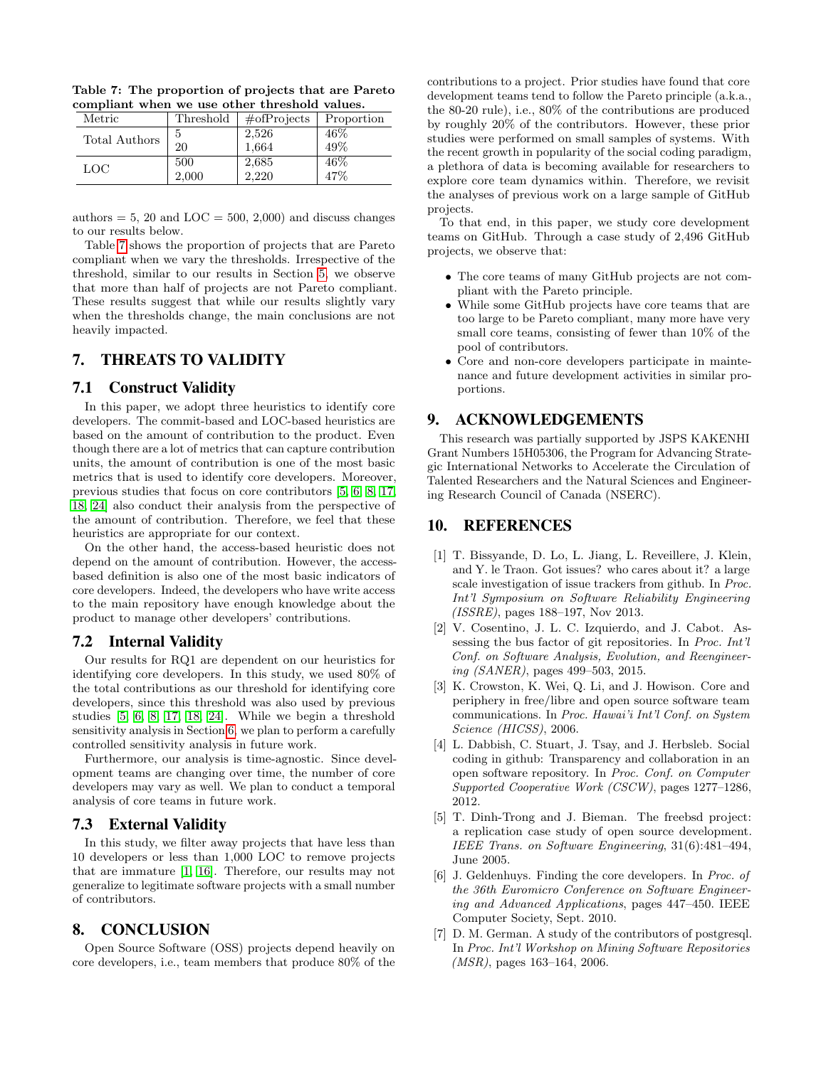| Metric        | Threshold | $\#$ ofProjects | Proportion |
|---------------|-----------|-----------------|------------|
| Total Authors | 5         | 2,526           | 46%        |
|               | 20        | 1.664           | 49%        |
| LOC           | 500       | 2,685           | 46\%       |
|               | 2,000     | 2,220           | 47%        |

<span id="page-8-9"></span>Table 7: The proportion of projects that are Pareto compliant when we use other threshold values.

authors  $= 5$ , 20 and LOC  $= 500$ , 2,000) and discuss changes to our results below.

Table [7](#page-8-9) shows the proportion of projects that are Pareto compliant when we vary the thresholds. Irrespective of the threshold, similar to our results in Section [5,](#page-4-0) we observe that more than half of projects are not Pareto compliant. These results suggest that while our results slightly vary when the thresholds change, the main conclusions are not heavily impacted.

## <span id="page-8-2"></span>7. THREATS TO VALIDITY

#### 7.1 Construct Validity

In this paper, we adopt three heuristics to identify core developers. The commit-based and LOC-based heuristics are based on the amount of contribution to the product. Even though there are a lot of metrics that can capture contribution units, the amount of contribution is one of the most basic metrics that is used to identify core developers. Moreover, previous studies that focus on core contributors [\[5,](#page-8-0) [6,](#page-8-1) [8,](#page-9-3) [17,](#page-9-4) [18,](#page-9-0) [24\]](#page-9-5) also conduct their analysis from the perspective of the amount of contribution. Therefore, we feel that these heuristics are appropriate for our context.

On the other hand, the access-based heuristic does not depend on the amount of contribution. However, the accessbased definition is also one of the most basic indicators of core developers. Indeed, the developers who have write access to the main repository have enough knowledge about the product to manage other developers' contributions.

#### 7.2 Internal Validity

Our results for RQ1 are dependent on our heuristics for identifying core developers. In this study, we used 80% of the total contributions as our threshold for identifying core developers, since this threshold was also used by previous studies [\[5,](#page-8-0) [6,](#page-8-1) [8,](#page-9-3) [17,](#page-9-4) [18,](#page-9-0) [24\]](#page-9-5). While we begin a threshold sensitivity analysis in Section [6,](#page-7-0) we plan to perform a carefully controlled sensitivity analysis in future work.

Furthermore, our analysis is time-agnostic. Since development teams are changing over time, the number of core developers may vary as well. We plan to conduct a temporal analysis of core teams in future work.

## 7.3 External Validity

In this study, we filter away projects that have less than 10 developers or less than 1,000 LOC to remove projects that are immature [\[1,](#page-8-7) [16\]](#page-9-8). Therefore, our results may not generalize to legitimate software projects with a small number of contributors.

# <span id="page-8-3"></span>8. CONCLUSION

Open Source Software (OSS) projects depend heavily on core developers, i.e., team members that produce 80% of the contributions to a project. Prior studies have found that core development teams tend to follow the Pareto principle (a.k.a., the 80-20 rule), i.e., 80% of the contributions are produced by roughly 20% of the contributors. However, these prior studies were performed on small samples of systems. With the recent growth in popularity of the social coding paradigm, a plethora of data is becoming available for researchers to explore core team dynamics within. Therefore, we revisit the analyses of previous work on a large sample of GitHub projects.

To that end, in this paper, we study core development teams on GitHub. Through a case study of 2,496 GitHub projects, we observe that:

- The core teams of many GitHub projects are not compliant with the Pareto principle.
- While some GitHub projects have core teams that are too large to be Pareto compliant, many more have very small core teams, consisting of fewer than 10% of the pool of contributors.
- Core and non-core developers participate in maintenance and future development activities in similar proportions.

# 9. ACKNOWLEDGEMENTS

This research was partially supported by JSPS KAKENHI Grant Numbers 15H05306, the Program for Advancing Strategic International Networks to Accelerate the Circulation of Talented Researchers and the Natural Sciences and Engineering Research Council of Canada (NSERC).

# 10. REFERENCES

- <span id="page-8-7"></span>[1] T. Bissyande, D. Lo, L. Jiang, L. Reveillere, J. Klein, and Y. le Traon. Got issues? who cares about it? a large scale investigation of issue trackers from github. In Proc. Int'l Symposium on Software Reliability Engineering (ISSRE), pages 188–197, Nov 2013.
- <span id="page-8-8"></span>[2] V. Cosentino, J. L. C. Izquierdo, and J. Cabot. Assessing the bus factor of git repositories. In Proc. Int'l Conf. on Software Analysis, Evolution, and Reengineering (SANER), pages 499–503, 2015.
- <span id="page-8-4"></span>[3] K. Crowston, K. Wei, Q. Li, and J. Howison. Core and periphery in free/libre and open source software team communications. In Proc. Hawai'i Int'l Conf. on System Science (HICSS), 2006.
- <span id="page-8-5"></span>[4] L. Dabbish, C. Stuart, J. Tsay, and J. Herbsleb. Social coding in github: Transparency and collaboration in an open software repository. In Proc. Conf. on Computer Supported Cooperative Work (CSCW), pages 1277–1286, 2012.
- <span id="page-8-0"></span>[5] T. Dinh-Trong and J. Bieman. The freebsd project: a replication case study of open source development. IEEE Trans. on Software Engineering, 31(6):481–494, June 2005.
- <span id="page-8-1"></span>[6] J. Geldenhuys. Finding the core developers. In Proc. of the 36th Euromicro Conference on Software Engineering and Advanced Applications, pages 447–450. IEEE Computer Society, Sept. 2010.
- <span id="page-8-6"></span>[7] D. M. German. A study of the contributors of postgresql. In Proc. Int'l Workshop on Mining Software Repositories (MSR), pages 163–164, 2006.